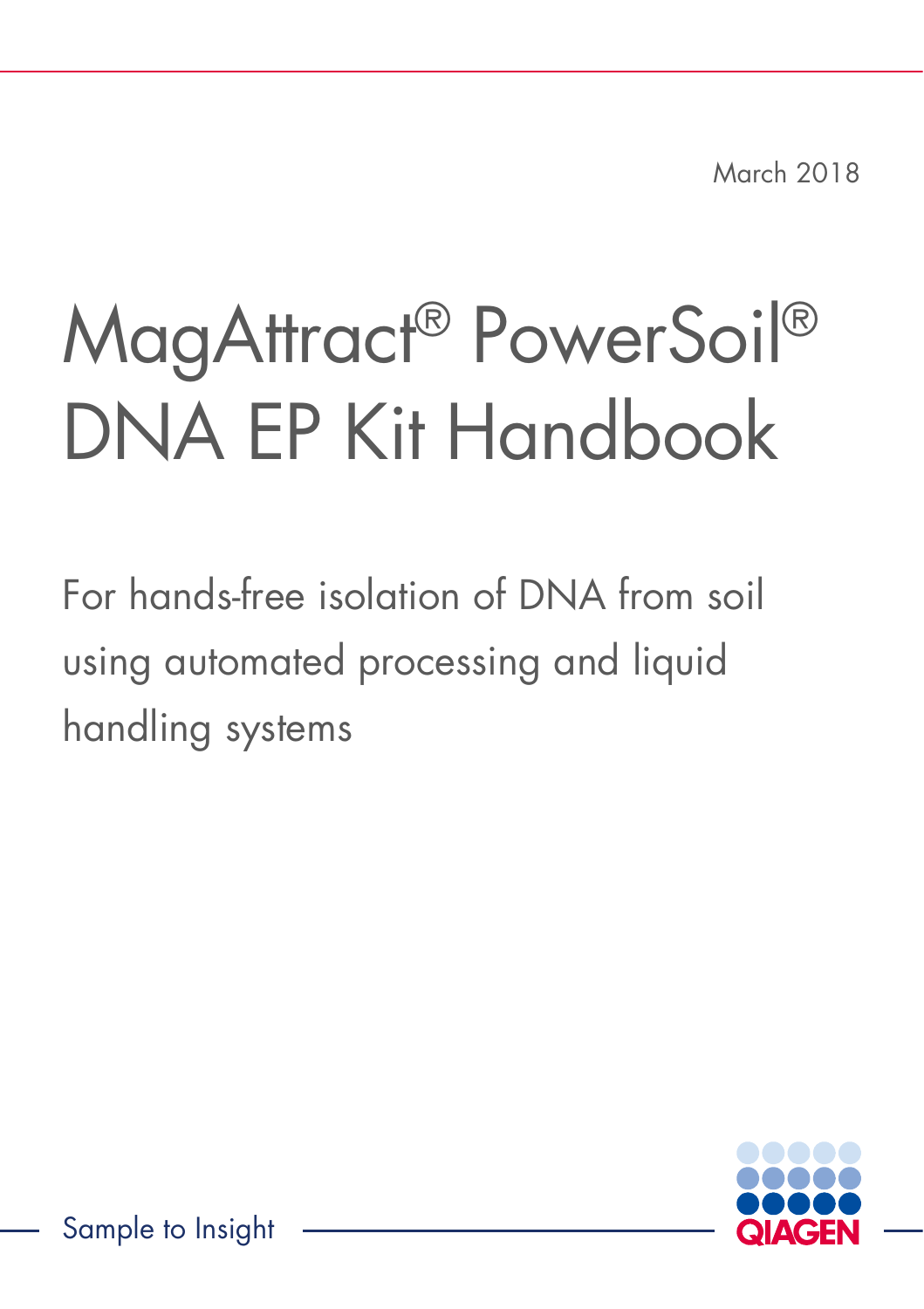March 2018

# MagAttract® PowerSoil® DNA EP Kit Handbook

For hands-free isolation of DNA from soil using automated processing and liquid handling systems

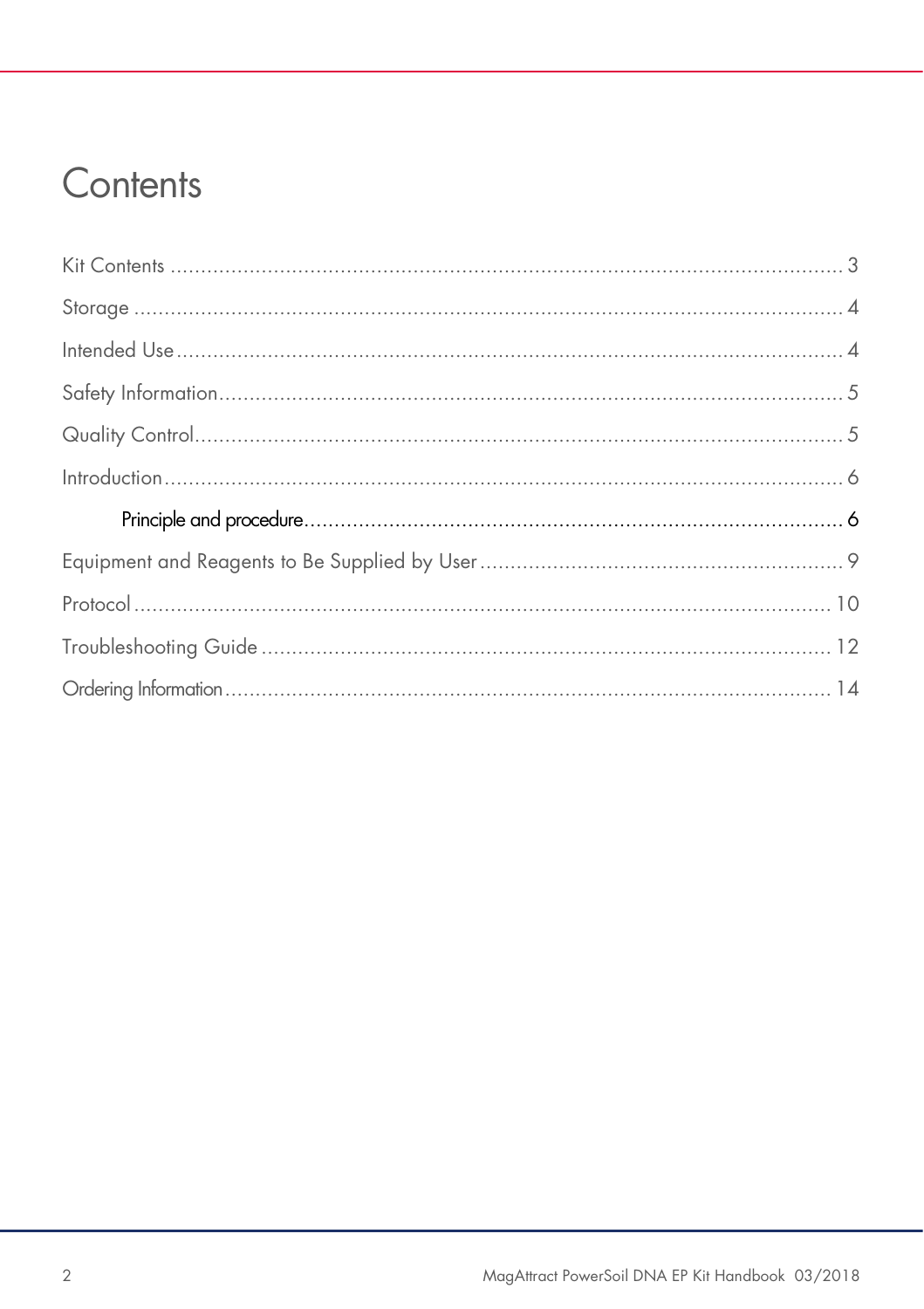### Contents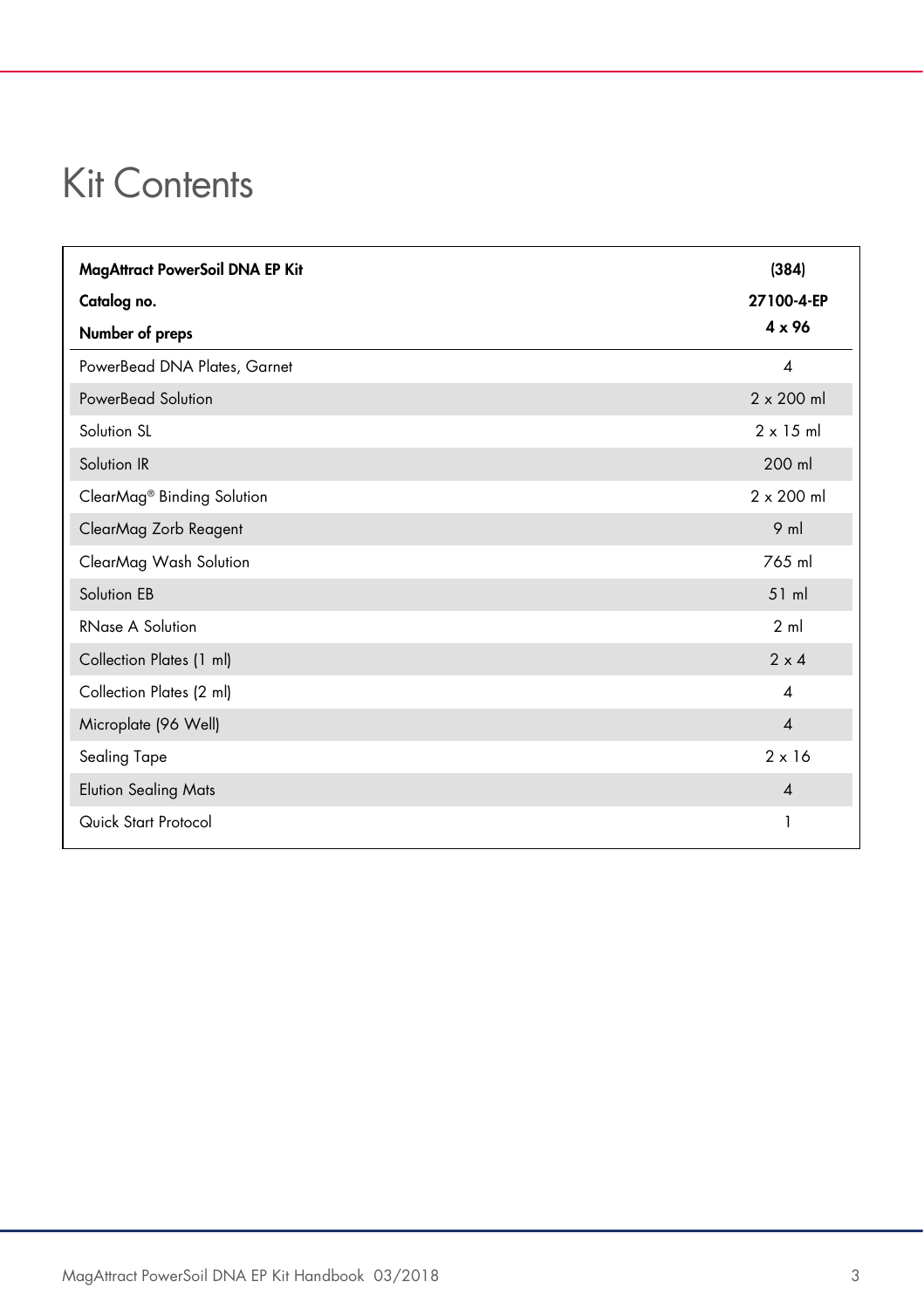### Kit Contents

| MagAttract PowerSoil DNA EP Kit        | (384)                    |
|----------------------------------------|--------------------------|
| Catalog no.                            | 27100-4-EP               |
| Number of preps                        | $4 \times 96$            |
| PowerBead DNA Plates, Garnet           | $\overline{A}$           |
| PowerBead Solution                     | $2 \times 200$ ml        |
| Solution SL                            | $2 \times 15$ ml         |
| Solution IR                            | 200 ml                   |
| ClearMag <sup>®</sup> Binding Solution | $2 \times 200$ ml        |
| ClearMag Zorb Reagent                  | $9$ m                    |
| ClearMag Wash Solution                 | 765 ml                   |
| Solution EB                            | $51$ ml                  |
| RNase A Solution                       | 2 <sub>m</sub>           |
| Collection Plates (1 ml)               | $2 \times 4$             |
| Collection Plates (2 ml)               | $\boldsymbol{\varDelta}$ |
| Microplate (96 Well)                   | $\boldsymbol{\Lambda}$   |
| Sealing Tape                           | $2 \times 16$            |
| <b>Elution Sealing Mats</b>            | $\overline{\mathcal{A}}$ |
| Quick Start Protocol                   | 1                        |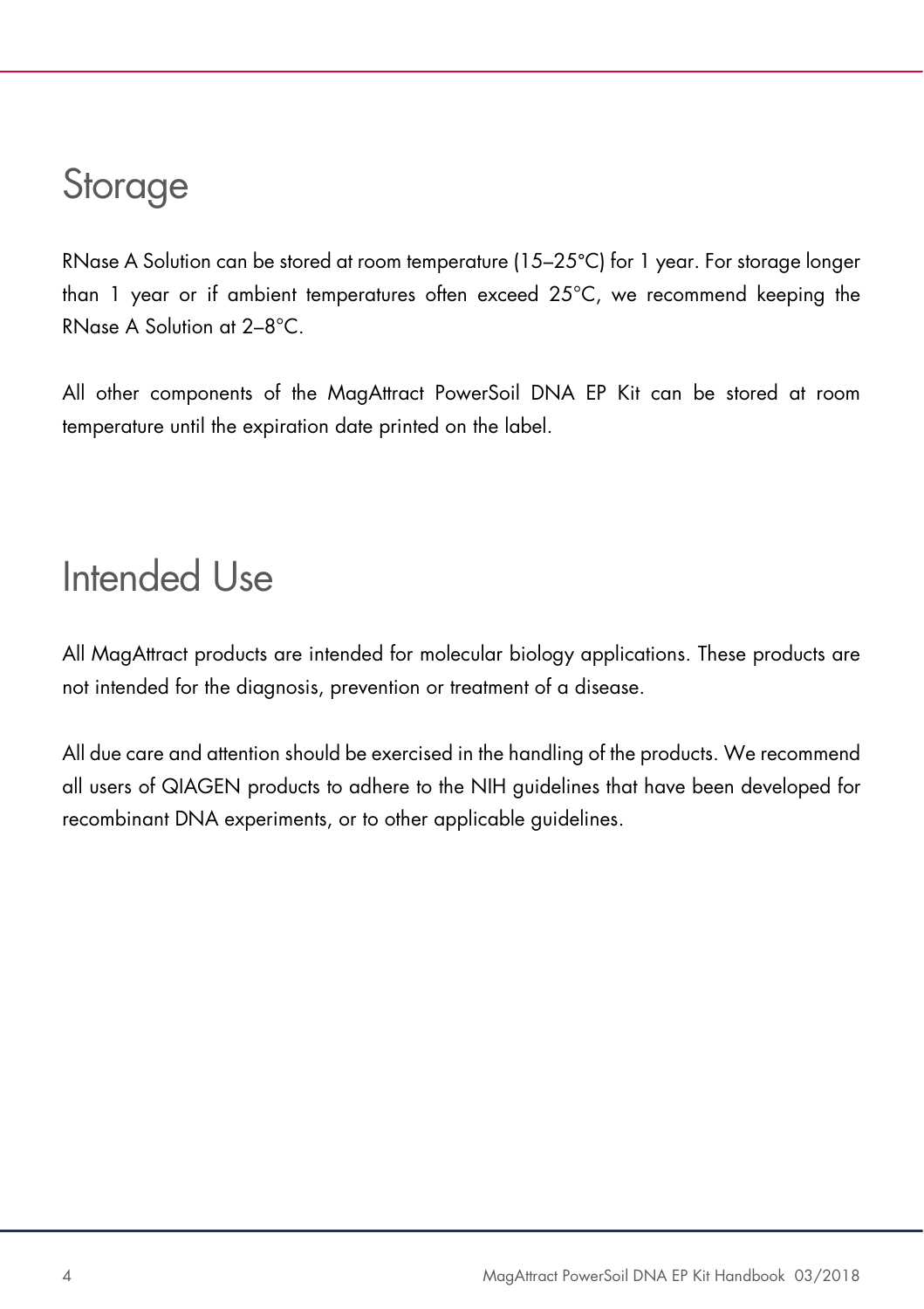### **Storage**

RNase A Solution can be stored at room temperature (15–25°C) for 1 year. For storage longer than 1 year or if ambient temperatures often exceed 25°C, we recommend keeping the RNase A Solution at 2–8°C.

All other components of the MagAttract PowerSoil DNA EP Kit can be stored at room temperature until the expiration date printed on the label.

### Intended Use

All MagAttract products are intended for molecular biology applications. These products are not intended for the diagnosis, prevention or treatment of a disease.

All due care and attention should be exercised in the handling of the products. We recommend all users of QIAGEN products to adhere to the NIH guidelines that have been developed for recombinant DNA experiments, or to other applicable guidelines.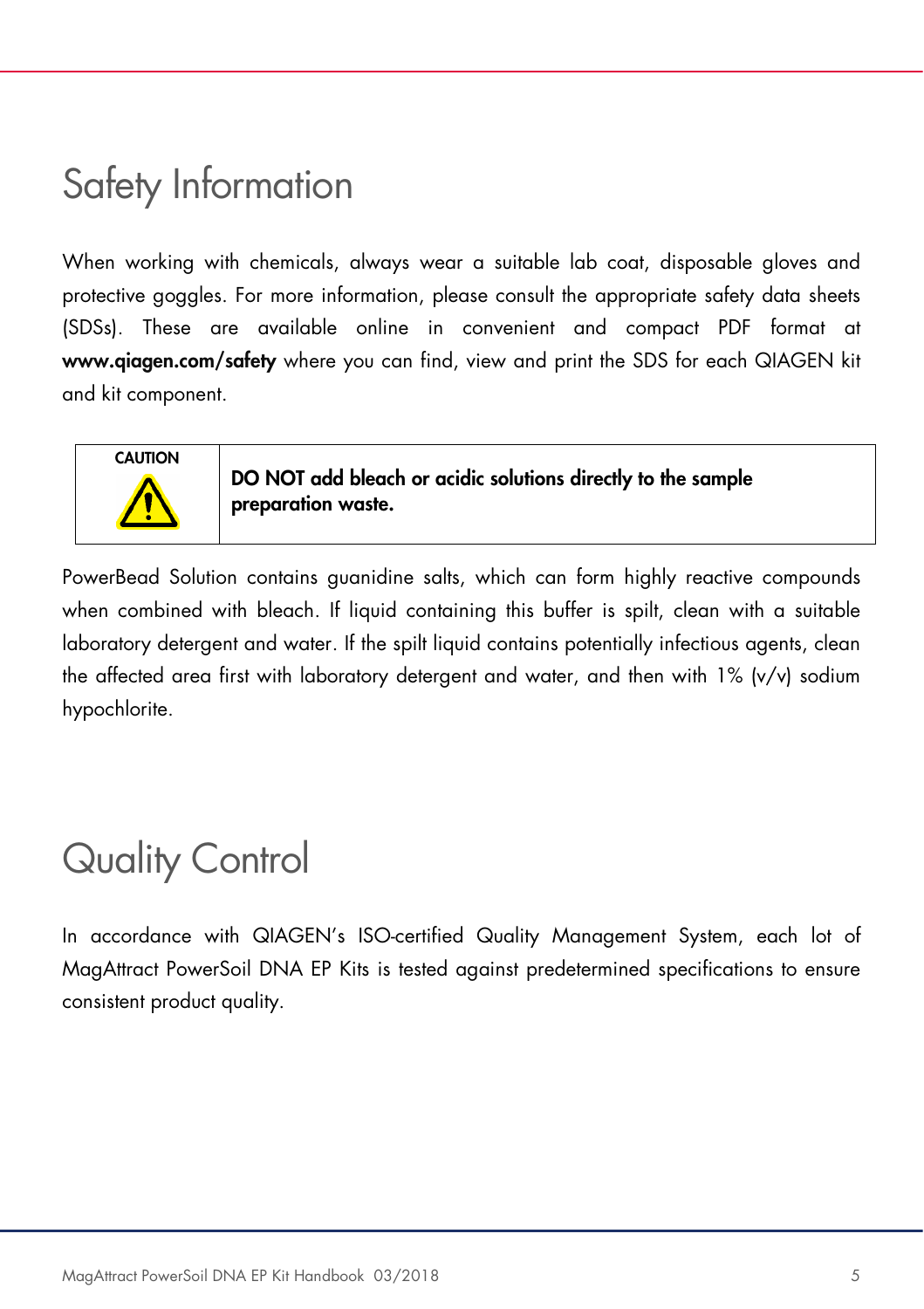### Safety Information

When working with chemicals, always wear a suitable lab coat, disposable gloves and protective goggles. For more information, please consult the appropriate safety data sheets (SDSs). These are available online in convenient and compact PDF format at www.qiagen.com/safety where you can find, view and print the SDS for each QIAGEN kit and kit component.



DO NOT add bleach or acidic solutions directly to the sample preparation waste.

PowerBead Solution contains guanidine salts, which can form highly reactive compounds when combined with bleach. If liquid containing this buffer is spilt, clean with a suitable laboratory detergent and water. If the spilt liquid contains potentially infectious agents, clean the affected area first with laboratory detergent and water, and then with 1% (v/v) sodium hypochlorite.

## Quality Control

In accordance with QIAGEN's ISO-certified Quality Management System, each lot of MagAttract PowerSoil DNA EP Kits is tested against predetermined specifications to ensure consistent product quality.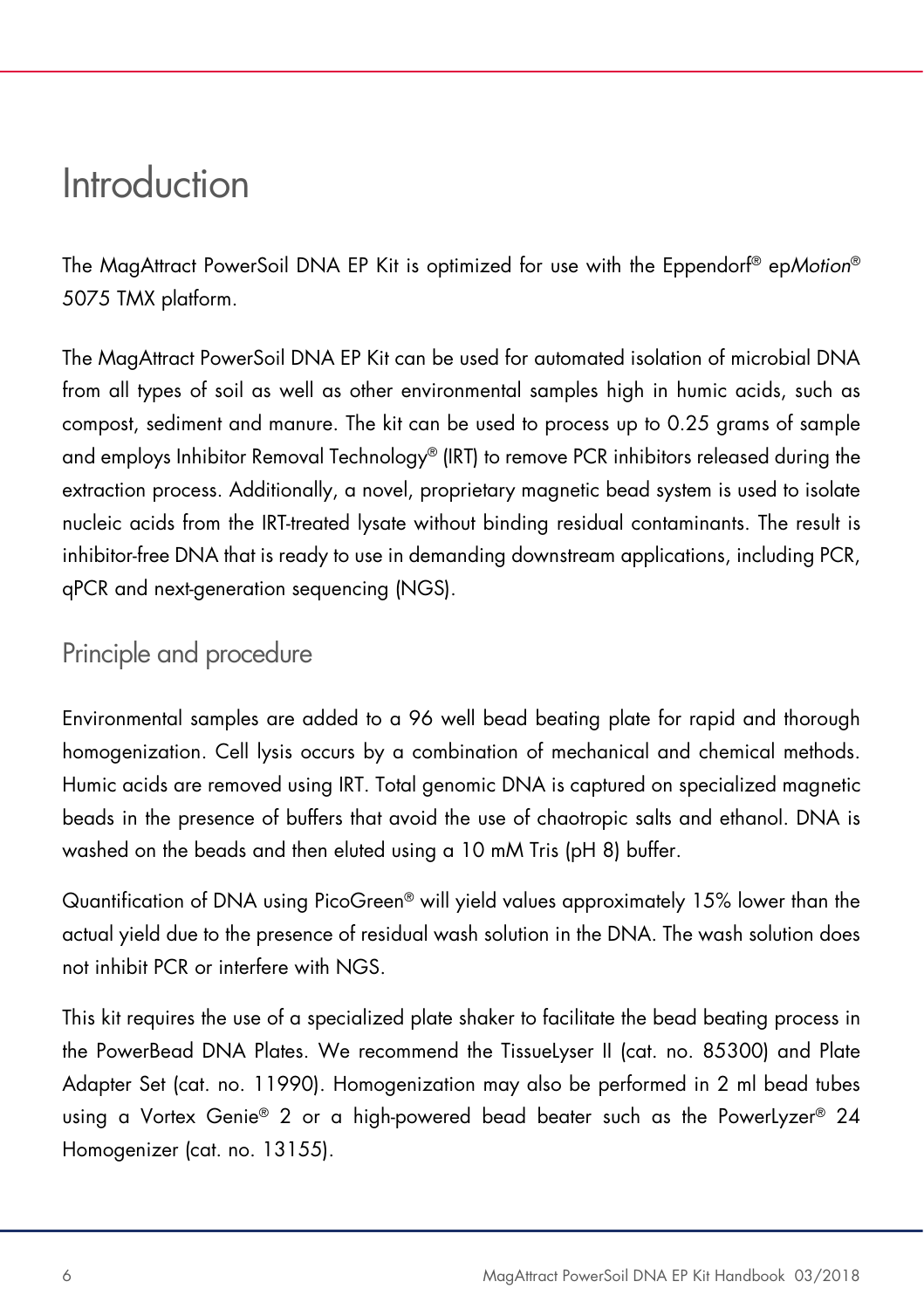### Introduction

The MagAttract PowerSoil DNA EP Kit is optimized for use with the Eppendorf® epMotion® 5075 TMX platform.

The MagAttract PowerSoil DNA EP Kit can be used for automated isolation of microbial DNA from all types of soil as well as other environmental samples high in humic acids, such as compost, sediment and manure. The kit can be used to process up to 0.25 grams of sample and employs Inhibitor Removal Technology® (IRT) to remove PCR inhibitors released during the extraction process. Additionally, a novel, proprietary magnetic bead system is used to isolate nucleic acids from the IRT-treated lysate without binding residual contaminants. The result is inhibitor-free DNA that is ready to use in demanding downstream applications, including PCR, qPCR and next-generation sequencing (NGS).

### Principle and procedure

Environmental samples are added to a 96 well bead beating plate for rapid and thorough homogenization. Cell lysis occurs by a combination of mechanical and chemical methods. Humic acids are removed using IRT. Total genomic DNA is captured on specialized magnetic beads in the presence of buffers that avoid the use of chaotropic salts and ethanol. DNA is washed on the beads and then eluted using a 10 mM Tris (pH 8) buffer.

Quantification of DNA using PicoGreen® will yield values approximately 15% lower than the actual yield due to the presence of residual wash solution in the DNA. The wash solution does not inhibit PCR or interfere with NGS.

This kit requires the use of a specialized plate shaker to facilitate the bead beating process in the PowerBead DNA Plates. We recommend the TissueLyser II (cat. no. 85300) and Plate Adapter Set (cat. no. 11990). Homogenization may also be performed in 2 ml bead tubes using a Vortex Genie® 2 or a high-powered bead beater such as the PowerLyzer® 24 Homogenizer (cat. no. 13155).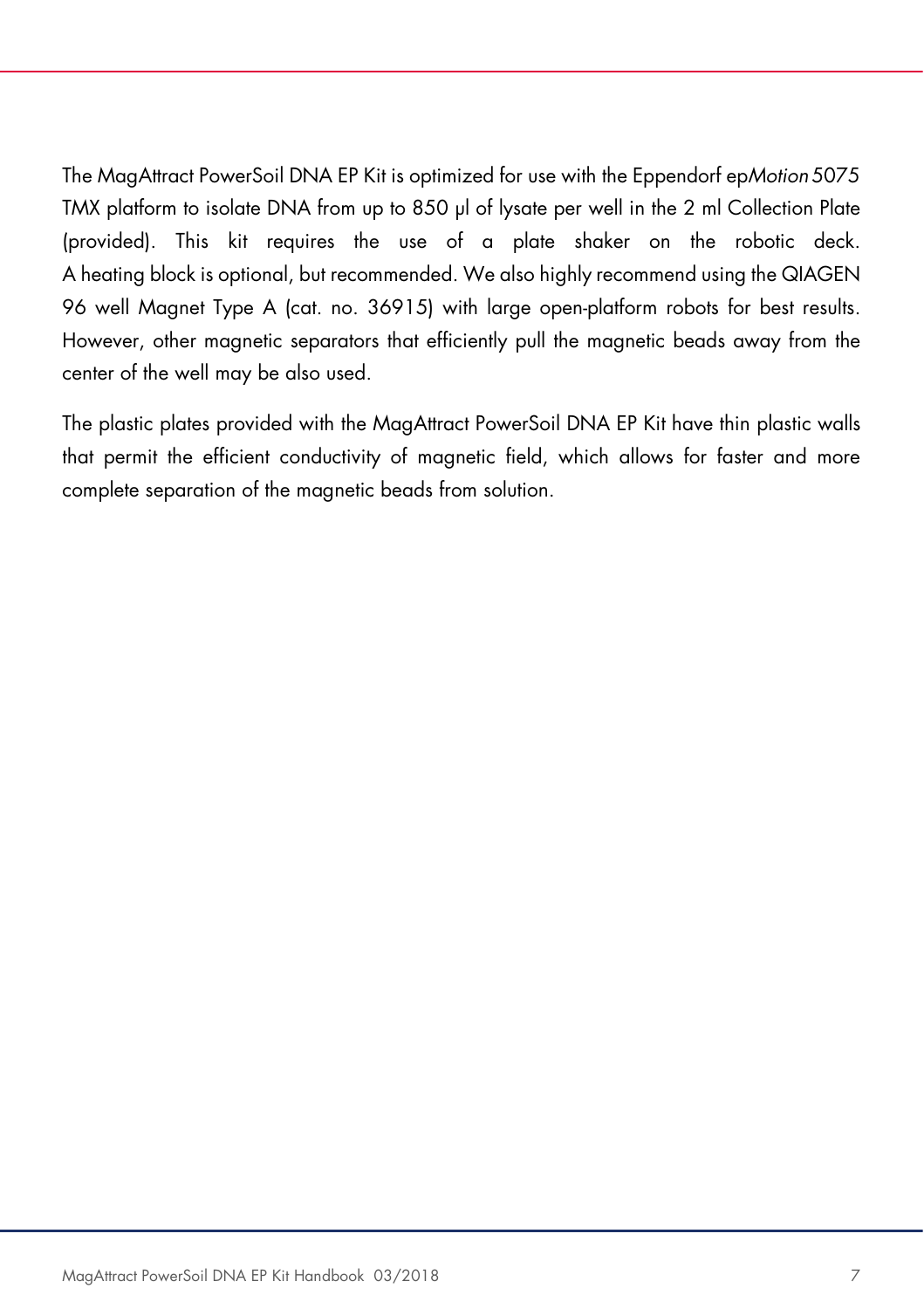The MagAttract PowerSoil DNA EP Kit is optimized for use with the Eppendorf epMotion 5075 TMX platform to isolate DNA from up to 850 µl of lysate per well in the 2 ml Collection Plate (provided). This kit requires the use of a plate shaker on the robotic deck. A heating block is optional, but recommended. We also highly recommend using the QIAGEN 96 well Magnet Type A (cat. no. 36915) with large open-platform robots for best results. However, other magnetic separators that efficiently pull the magnetic beads away from the center of the well may be also used.

The plastic plates provided with the MagAttract PowerSoil DNA EP Kit have thin plastic walls that permit the efficient conductivity of magnetic field, which allows for faster and more complete separation of the magnetic beads from solution.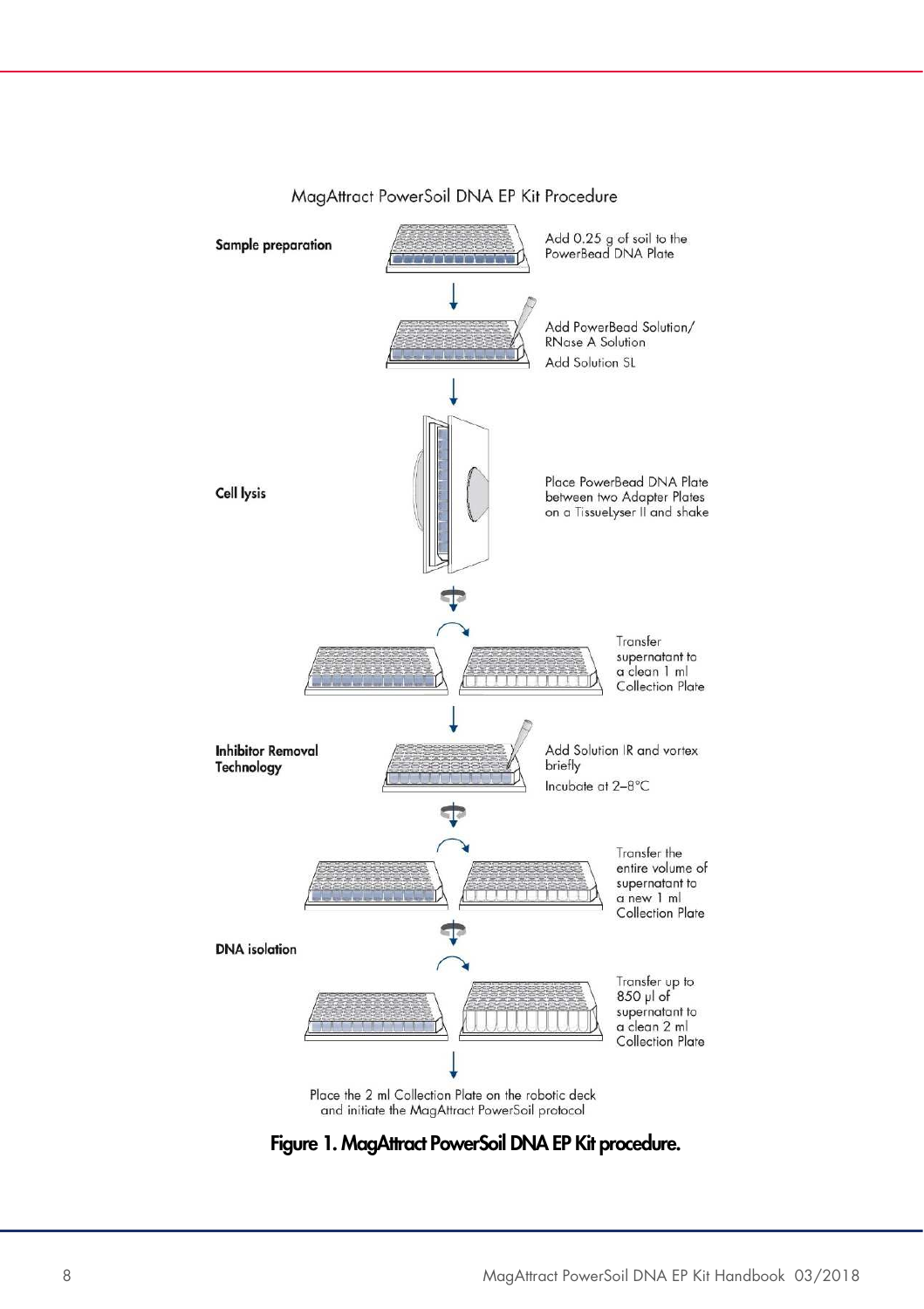

#### MagAttract PowerSoil DNA EP Kit Procedure

Figure 1. MagAttract PowerSoil DNA EP Kit procedure.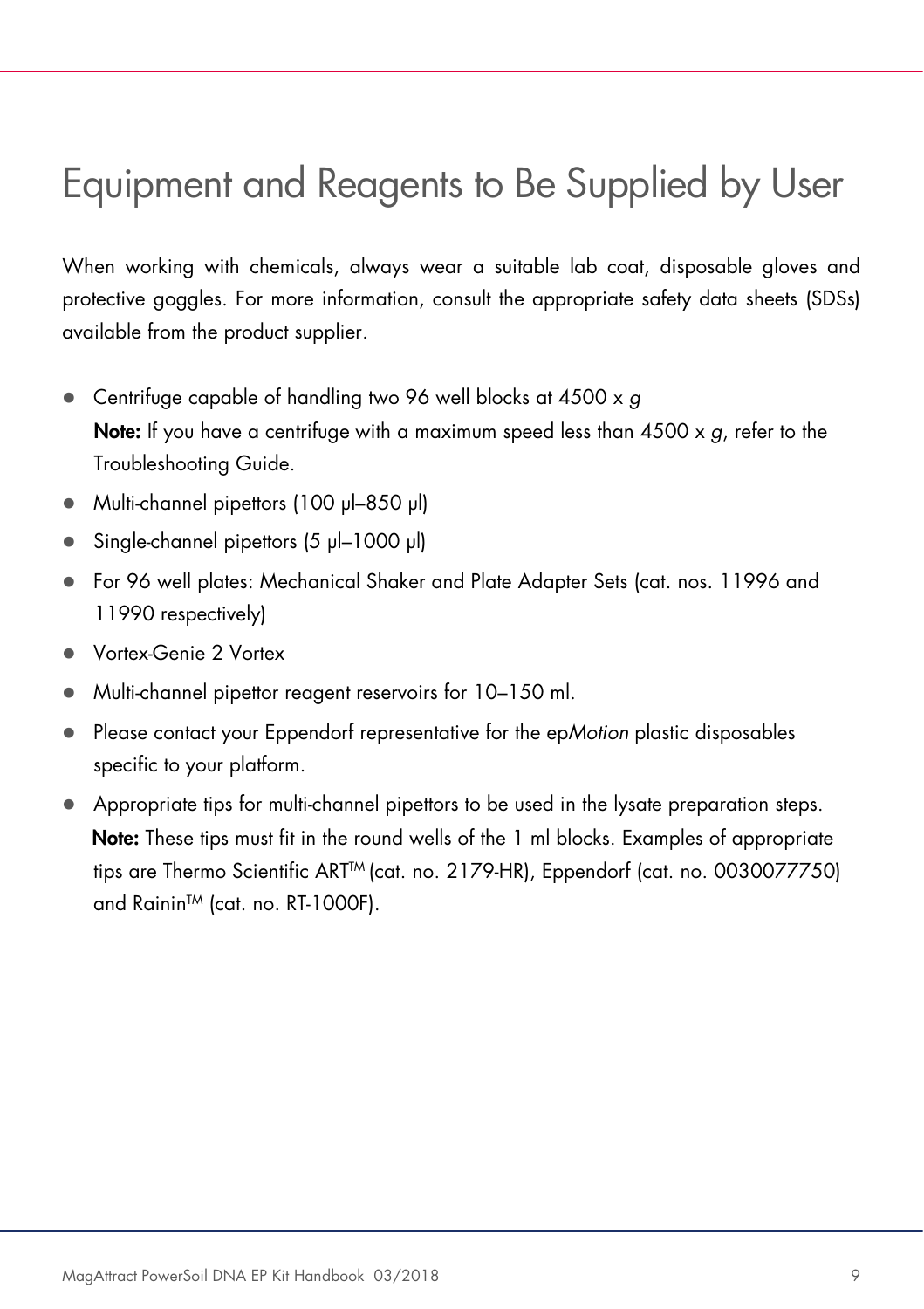## Equipment and Reagents to Be Supplied by User

When working with chemicals, always wear a suitable lab coat, disposable gloves and protective goggles. For more information, consult the appropriate safety data sheets (SDSs) available from the product supplier.

- Centrifuge capable of handling two 96 well blocks at 4500 x g **Note:** If you have a centrifuge with a maximum speed less than  $4500 \times g$ , refer to the Troubleshooting Guide.
- Multi-channel pipettors (100 μl–850 μl)
- Single-channel pipettors (5 μl–1000 μl)
- For 96 well plates: Mechanical Shaker and Plate Adapter Sets (cat. nos. 11996 and 11990 respectively)
- Vortex-Genie 2 Vortex
- Multi-channel pipettor reagent reservoirs for 10–150 ml.
- Please contact your Eppendorf representative for the epMotion plastic disposables specific to your platform.
- Appropriate tips for multi-channel pipettors to be used in the lysate preparation steps. Note: These tips must fit in the round wells of the 1 ml blocks. Examples of appropriate tips are Thermo Scientific ART<sup>™</sup> (cat. no. 2179-HR), Eppendorf (cat. no. 0030077750) and Rainin<sup>™</sup> (cat. no. RT-1000F).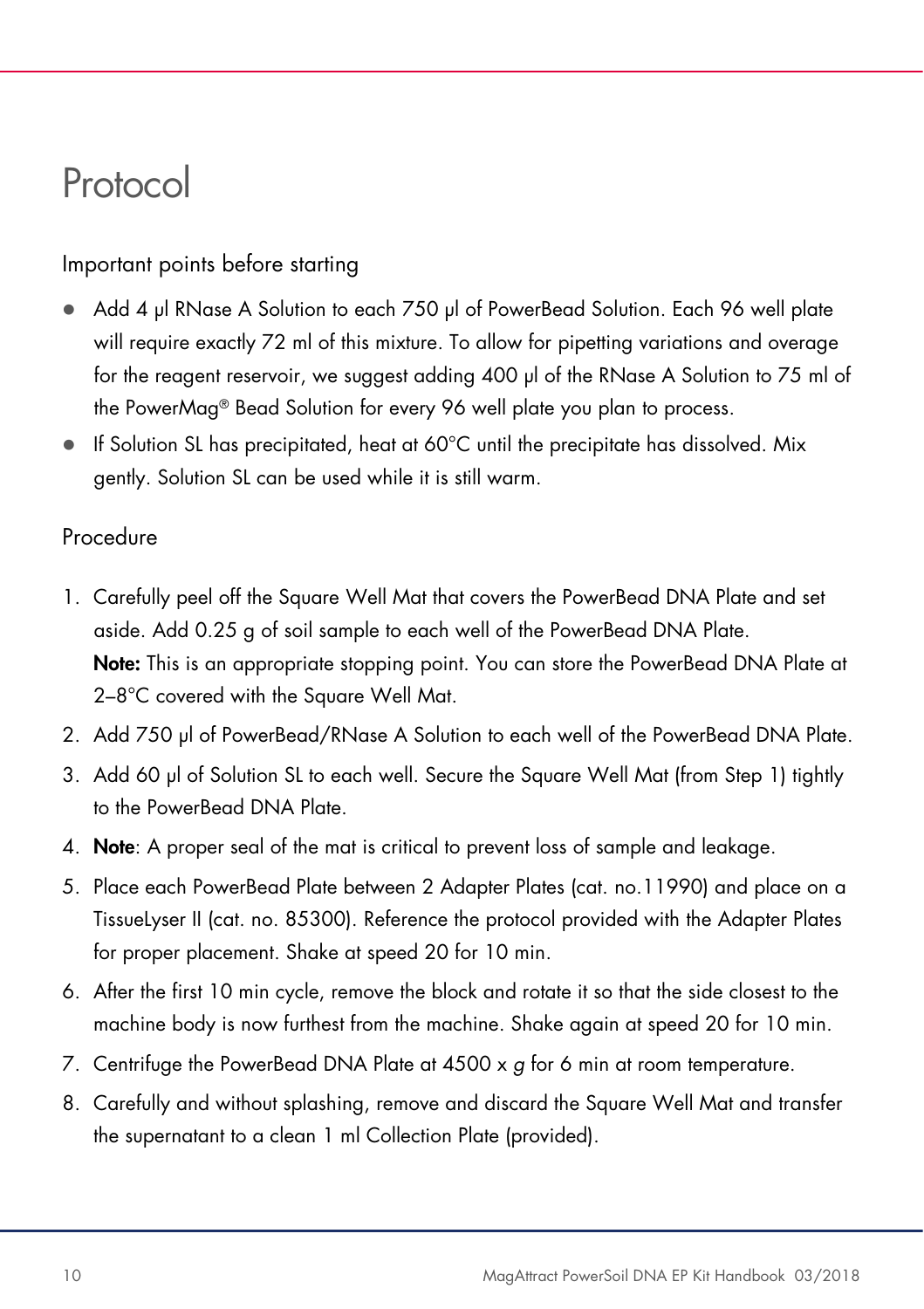### Protocol

Important points before starting

- Add 4 µl RNase A Solution to each 750 µl of PowerBead Solution. Each 96 well plate will require exactly 72 ml of this mixture. To allow for pipetting variations and overage for the reagent reservoir, we suggest adding 400 µl of the RNase A Solution to 75 ml of the PowerMag® Bead Solution for every 96 well plate you plan to process.
- If Solution SL has precipitated, heat at 60°C until the precipitate has dissolved. Mix gently. Solution SL can be used while it is still warm.

### Procedure

- 1. Carefully peel off the Square Well Mat that covers the PowerBead DNA Plate and set aside. Add 0.25 g of soil sample to each well of the PowerBead DNA Plate. Note: This is an appropriate stopping point. You can store the PowerBead DNA Plate at 2–8°C covered with the Square Well Mat.
- 2. Add 750 µl of PowerBead/RNase A Solution to each well of the PowerBead DNA Plate.
- 3. Add 60 µl of Solution SL to each well. Secure the Square Well Mat (from Step 1) tightly to the PowerBead DNA Plate.
- 4. Note: A proper seal of the mat is critical to prevent loss of sample and leakage.
- 5. Place each PowerBead Plate between 2 Adapter Plates (cat. no.11990) and place on a TissueLyser II (cat. no. 85300). Reference the protocol provided with the Adapter Plates for proper placement. Shake at speed 20 for 10 min.
- 6. After the first 10 min cycle, remove the block and rotate it so that the side closest to the machine body is now furthest from the machine. Shake again at speed 20 for 10 min.
- 7. Centrifuge the PowerBead DNA Plate at  $4500 \times g$  for 6 min at room temperature.
- 8. Carefully and without splashing, remove and discard the Square Well Mat and transfer the supernatant to a clean 1 ml Collection Plate (provided).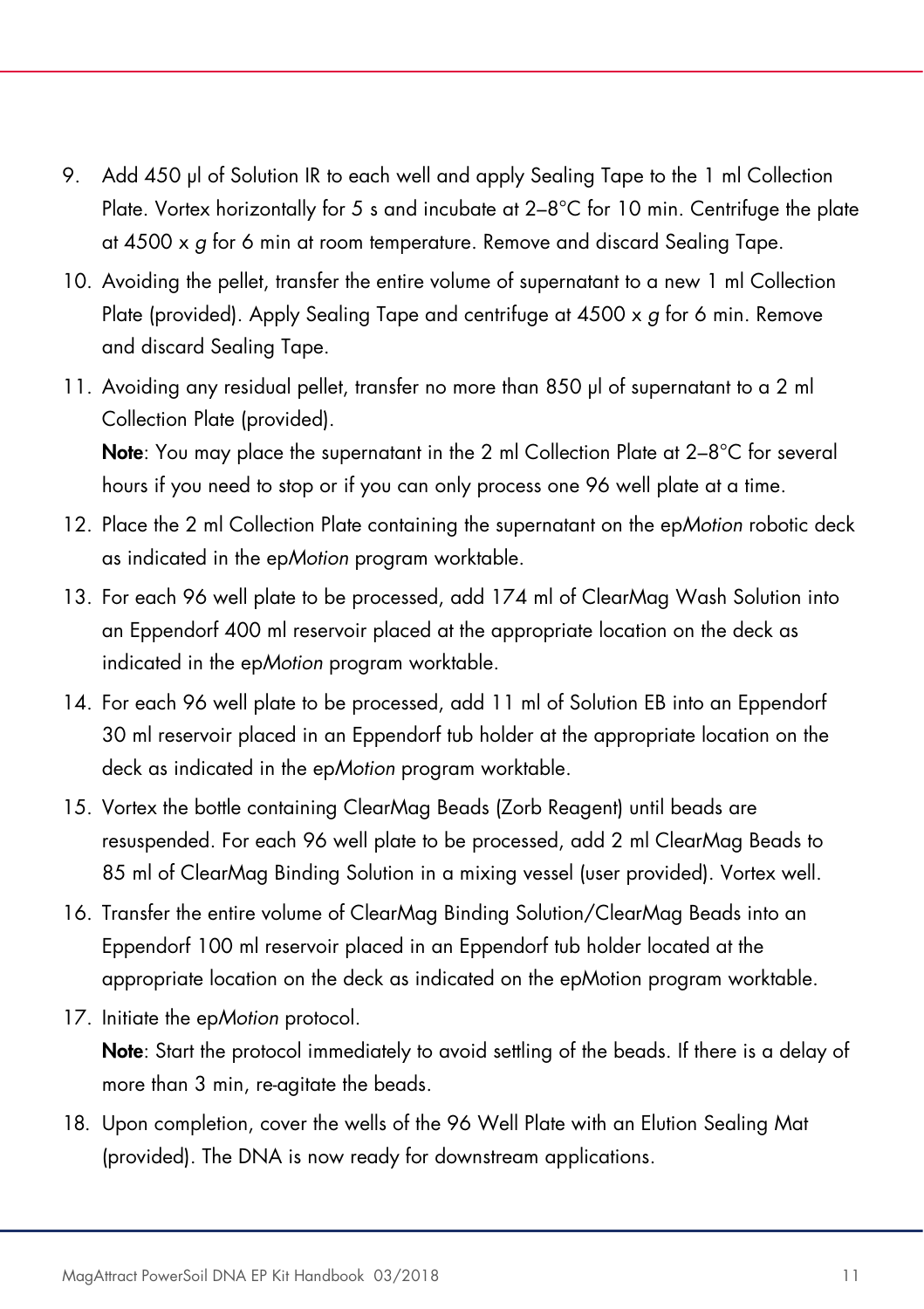- 9. Add 450 µl of Solution IR to each well and apply Sealing Tape to the 1 ml Collection Plate. Vortex horizontally for 5 s and incubate at 2–8°C for 10 min. Centrifuge the plate at 4500 x g for 6 min at room temperature. Remove and discard Sealing Tape.
- 10. Avoiding the pellet, transfer the entire volume of supernatant to a new 1 ml Collection Plate (provided). Apply Sealing Tape and centrifuge at  $4500 \times g$  for 6 min. Remove and discard Sealing Tape.
- 11. Avoiding any residual pellet, transfer no more than 850 µl of supernatant to a 2 ml Collection Plate (provided).

Note: You may place the supernatant in the 2 ml Collection Plate at 2-8°C for several hours if you need to stop or if you can only process one 96 well plate at a time.

- 12. Place the 2 ml Collection Plate containing the supernatant on the epMotion robotic deck as indicated in the epMotion program worktable.
- 13. For each 96 well plate to be processed, add 174 ml of ClearMag Wash Solution into an Eppendorf 400 ml reservoir placed at the appropriate location on the deck as indicated in the epMotion program worktable.
- 14. For each 96 well plate to be processed, add 11 ml of Solution EB into an Eppendorf 30 ml reservoir placed in an Eppendorf tub holder at the appropriate location on the deck as indicated in the epMotion program worktable.
- 15. Vortex the bottle containing ClearMag Beads (Zorb Reagent) until beads are resuspended. For each 96 well plate to be processed, add 2 ml ClearMag Beads to 85 ml of ClearMag Binding Solution in a mixing vessel (user provided). Vortex well.
- 16. Transfer the entire volume of ClearMag Binding Solution/ClearMag Beads into an Eppendorf 100 ml reservoir placed in an Eppendorf tub holder located at the appropriate location on the deck as indicated on the epMotion program worktable.
- 17. Initiate the epMotion protocol.

Note: Start the protocol immediately to avoid settling of the beads. If there is a delay of more than 3 min, re-agitate the beads.

18. Upon completion, cover the wells of the 96 Well Plate with an Elution Sealing Mat (provided). The DNA is now ready for downstream applications.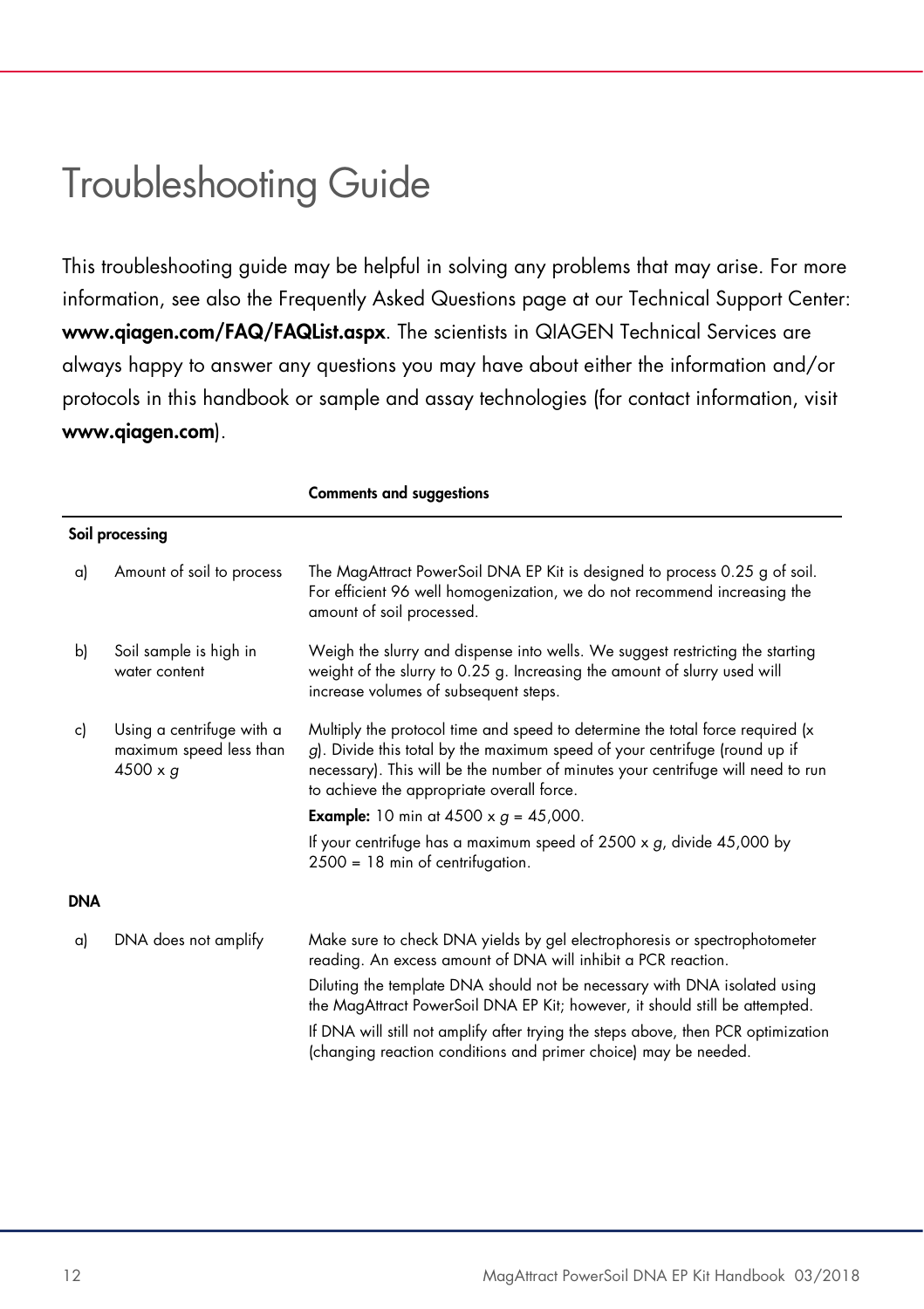### Troubleshooting Guide

This troubleshooting guide may be helpful in solving any problems that may arise. For more information, see also the Frequently Asked Questions page at our Technical Support Center: www.qiagen.com/FAQ/FAQList.aspx. The scientists in QIAGEN Technical Services are always happy to answer any questions you may have about either the information and/or protocols in this handbook or sample and assay technologies (for contact information, visit www.qiagen.com).

|     |                                                                         | <b>Comments and suggestions</b>                                                                                                                                                                                                                                                             |  |  |
|-----|-------------------------------------------------------------------------|---------------------------------------------------------------------------------------------------------------------------------------------------------------------------------------------------------------------------------------------------------------------------------------------|--|--|
|     | Soil processing                                                         |                                                                                                                                                                                                                                                                                             |  |  |
| a)  | Amount of soil to process                                               | The MagAttract PowerSoil DNA EP Kit is designed to process 0.25 g of soil.<br>For efficient 96 well homogenization, we do not recommend increasing the<br>amount of soil processed.                                                                                                         |  |  |
| b)  | Soil sample is high in<br>water content                                 | Weigh the slurry and dispense into wells. We suggest restricting the starting<br>weight of the slurry to 0.25 g. Increasing the amount of slurry used will<br>increase volumes of subsequent steps.                                                                                         |  |  |
| c)  | Using a centrifuge with a<br>maximum speed less than<br>$4500 \times g$ | Multiply the protocol time and speed to determine the total force required (x<br>g). Divide this total by the maximum speed of your centrifuge (round up if<br>necessary). This will be the number of minutes your centrifuge will need to run<br>to achieve the appropriate overall force. |  |  |
|     |                                                                         | <b>Example:</b> 10 min at 4500 x $q = 45,000$ .                                                                                                                                                                                                                                             |  |  |
|     |                                                                         | If your centrifuge has a maximum speed of $2500 \times g$ , divide $45,000$ by<br>$2500 = 18$ min of centrifugation.                                                                                                                                                                        |  |  |
| DNA |                                                                         |                                                                                                                                                                                                                                                                                             |  |  |
| a)  | DNA does not amplify                                                    | Make sure to check DNA yields by gel electrophoresis or spectrophotometer<br>reading. An excess amount of DNA will inhibit a PCR reaction.                                                                                                                                                  |  |  |
|     |                                                                         | Diluting the template DNA should not be necessary with DNA isolated using<br>the MagAttract PowerSoil DNA EP Kit; however, it should still be attempted.                                                                                                                                    |  |  |
|     |                                                                         | If DNA will still not amplify after trying the steps above, then PCR optimization<br>(changing reaction conditions and primer choice) may be needed.                                                                                                                                        |  |  |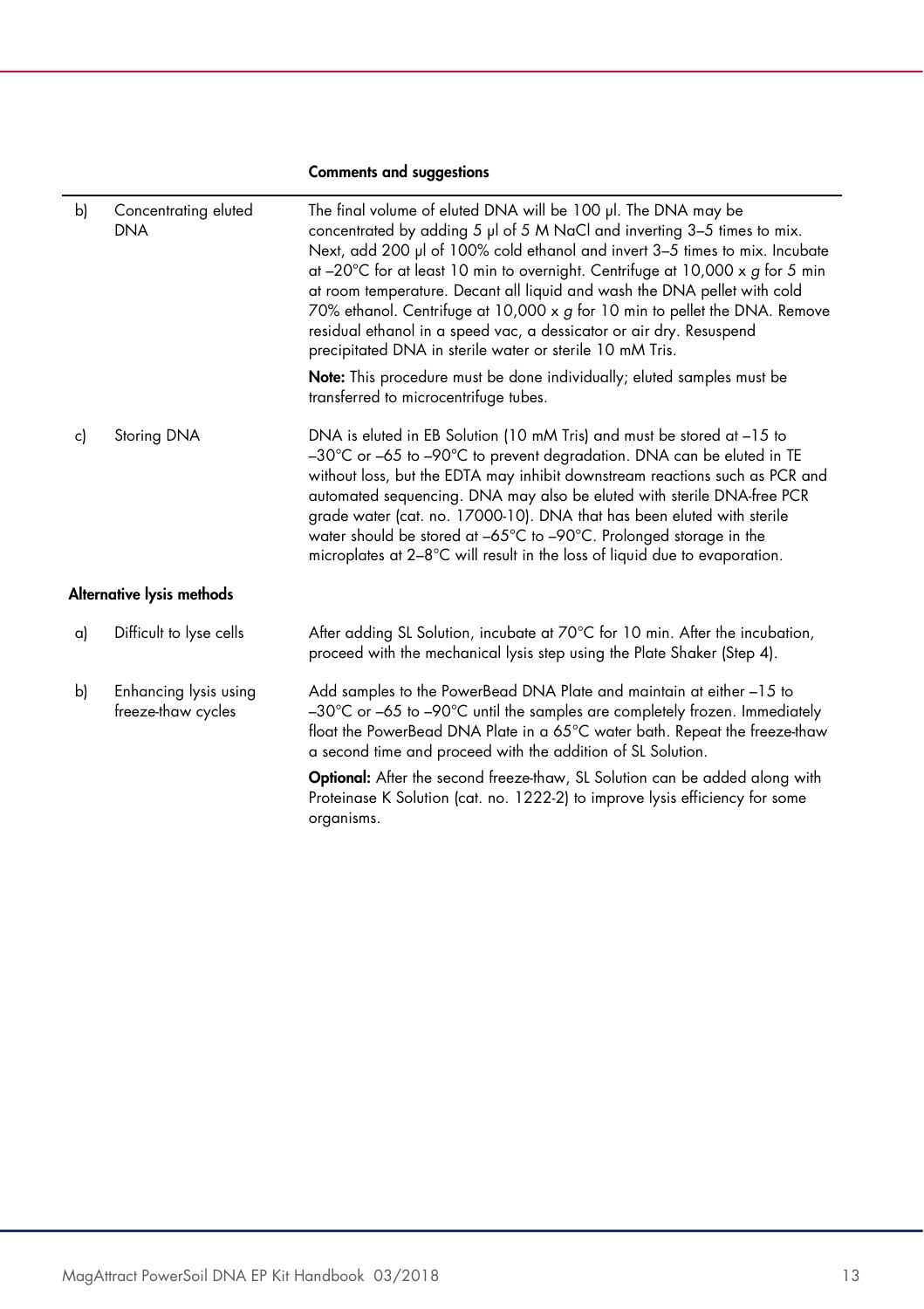#### Comments and suggestions

| b) | Concentrating eluted<br><b>DNA</b>          | The final volume of eluted DNA will be 100 µl. The DNA may be<br>concentrated by adding 5 µl of 5 M NaCl and inverting 3-5 times to mix.<br>Next, add 200 µl of 100% cold ethanol and invert 3-5 times to mix. Incubate<br>at $-20^{\circ}$ C for at least 10 min to overnight. Centrifuge at 10,000 x g for 5 min<br>at room temperature. Decant all liquid and wash the DNA pellet with cold<br>70% ethanol. Centrifuge at 10,000 x g for 10 min to pellet the DNA. Remove<br>residual ethanol in a speed vac, a dessicator or air dry. Resuspend<br>precipitated DNA in sterile water or sterile 10 mM Tris.<br><b>Note:</b> This procedure must be done individually; eluted samples must be |  |  |
|----|---------------------------------------------|--------------------------------------------------------------------------------------------------------------------------------------------------------------------------------------------------------------------------------------------------------------------------------------------------------------------------------------------------------------------------------------------------------------------------------------------------------------------------------------------------------------------------------------------------------------------------------------------------------------------------------------------------------------------------------------------------|--|--|
|    |                                             | transferred to microcentrifuge tubes.                                                                                                                                                                                                                                                                                                                                                                                                                                                                                                                                                                                                                                                            |  |  |
| c) | Storing DNA                                 | DNA is eluted in EB Solution (10 mM Tris) and must be stored at -15 to<br>-30°C or -65 to -90°C to prevent degradation. DNA can be eluted in TE<br>without loss, but the EDTA may inhibit downstream reactions such as PCR and<br>automated sequencing. DNA may also be eluted with sterile DNA-free PCR<br>grade water (cat. no. 17000-10). DNA that has been eluted with sterile<br>water should be stored at -65°C to -90°C. Prolonged storage in the<br>microplates at 2-8°C will result in the loss of liquid due to evaporation.                                                                                                                                                           |  |  |
|    | Alternative lysis methods                   |                                                                                                                                                                                                                                                                                                                                                                                                                                                                                                                                                                                                                                                                                                  |  |  |
| a) | Difficult to lyse cells                     | After adding SL Solution, incubate at 70°C for 10 min. After the incubation,<br>proceed with the mechanical lysis step using the Plate Shaker (Step 4).                                                                                                                                                                                                                                                                                                                                                                                                                                                                                                                                          |  |  |
| b) | Enhancing lysis using<br>freeze-thaw cycles | Add samples to the PowerBead DNA Plate and maintain at either -15 to<br>-30°C or -65 to -90°C until the samples are completely frozen. Immediately<br>float the PowerBead DNA Plate in a 65°C water bath. Repeat the freeze-thaw<br>a second time and proceed with the addition of SL Solution.                                                                                                                                                                                                                                                                                                                                                                                                  |  |  |
|    |                                             | Optional: After the second freeze-thaw, SL Solution can be added along with<br>Proteinase K Solution (cat. no. 1222-2) to improve lysis efficiency for some<br>organisms.                                                                                                                                                                                                                                                                                                                                                                                                                                                                                                                        |  |  |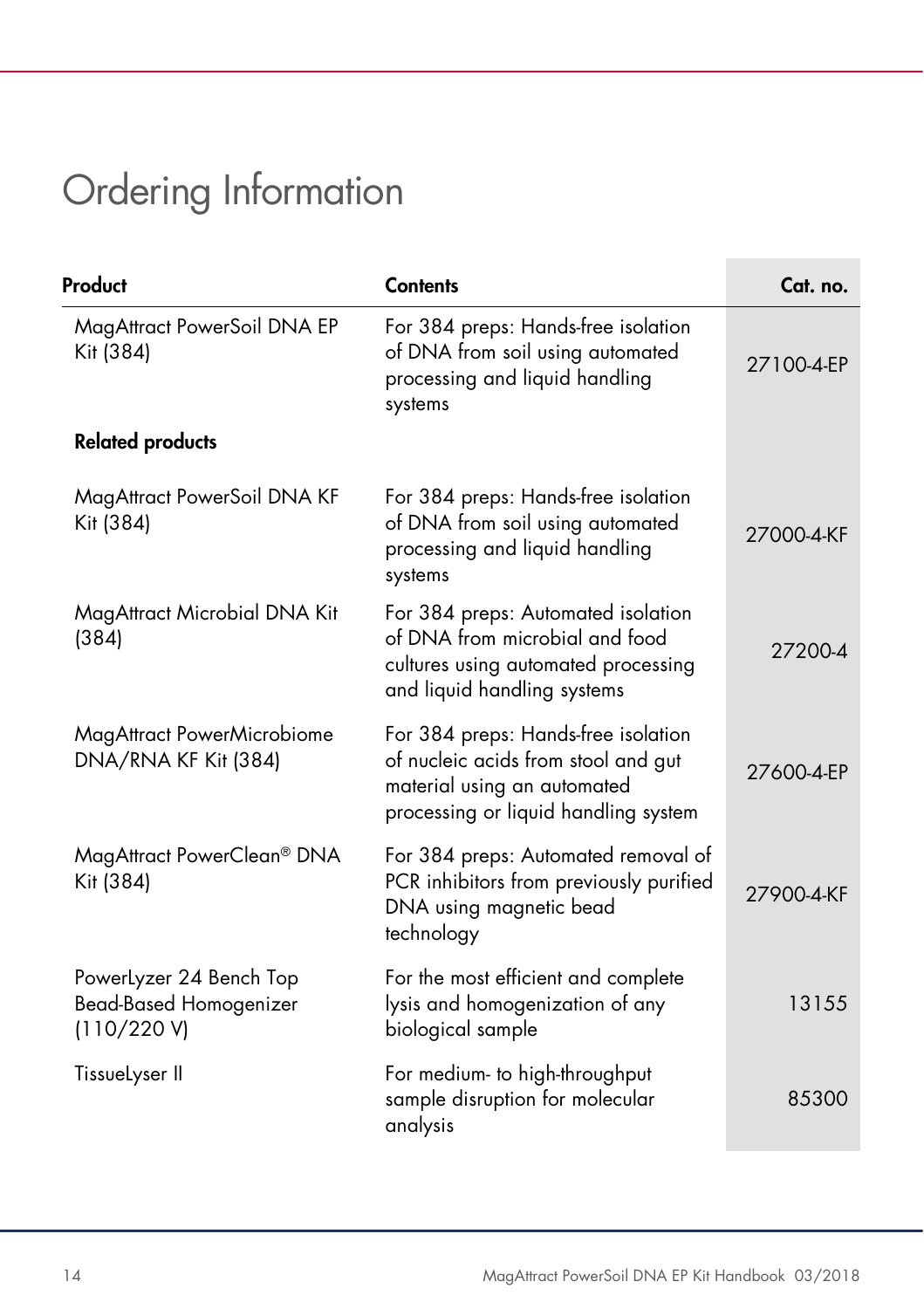# Ordering Information

| Product                                                                 | <b>Contents</b>                                                                                                                                   | Cat. no.   |
|-------------------------------------------------------------------------|---------------------------------------------------------------------------------------------------------------------------------------------------|------------|
| MagAttract PowerSoil DNA EP<br>Kit (384)                                | For 384 preps: Hands-free isolation<br>of DNA from soil using automated<br>processing and liquid handling<br>systems                              | 27100-4-EP |
| <b>Related products</b>                                                 |                                                                                                                                                   |            |
| MagAttract PowerSoil DNA KF<br>Kit (384)                                | For 384 preps: Hands-free isolation<br>of DNA from soil using automated<br>processing and liquid handling<br>systems                              | 27000-4-KF |
| MagAttract Microbial DNA Kit<br>(384)                                   | For 384 preps: Automated isolation<br>of DNA from microbial and food<br>cultures using automated processing<br>and liquid handling systems        | 27200-4    |
| MagAttract PowerMicrobiome<br>DNA/RNA KF Kit (384)                      | For 384 preps: Hands-free isolation<br>of nucleic acids from stool and gut<br>material using an automated<br>processing or liquid handling system | 27600-4-EP |
| MagAttract PowerClean® DNA<br>Kit (384)                                 | For 384 preps: Automated removal of<br>PCR inhibitors from previously purified<br>DNA using magnetic bead<br>technology                           | 27900-4-KF |
| PowerLyzer 24 Bench Top<br><b>Bead-Based Homogenizer</b><br>(110/220 V) | For the most efficient and complete<br>lysis and homogenization of any<br>biological sample                                                       | 13155      |
| TissueLyser II                                                          | For medium- to high-throughput<br>sample disruption for molecular<br>analysis                                                                     | 85300      |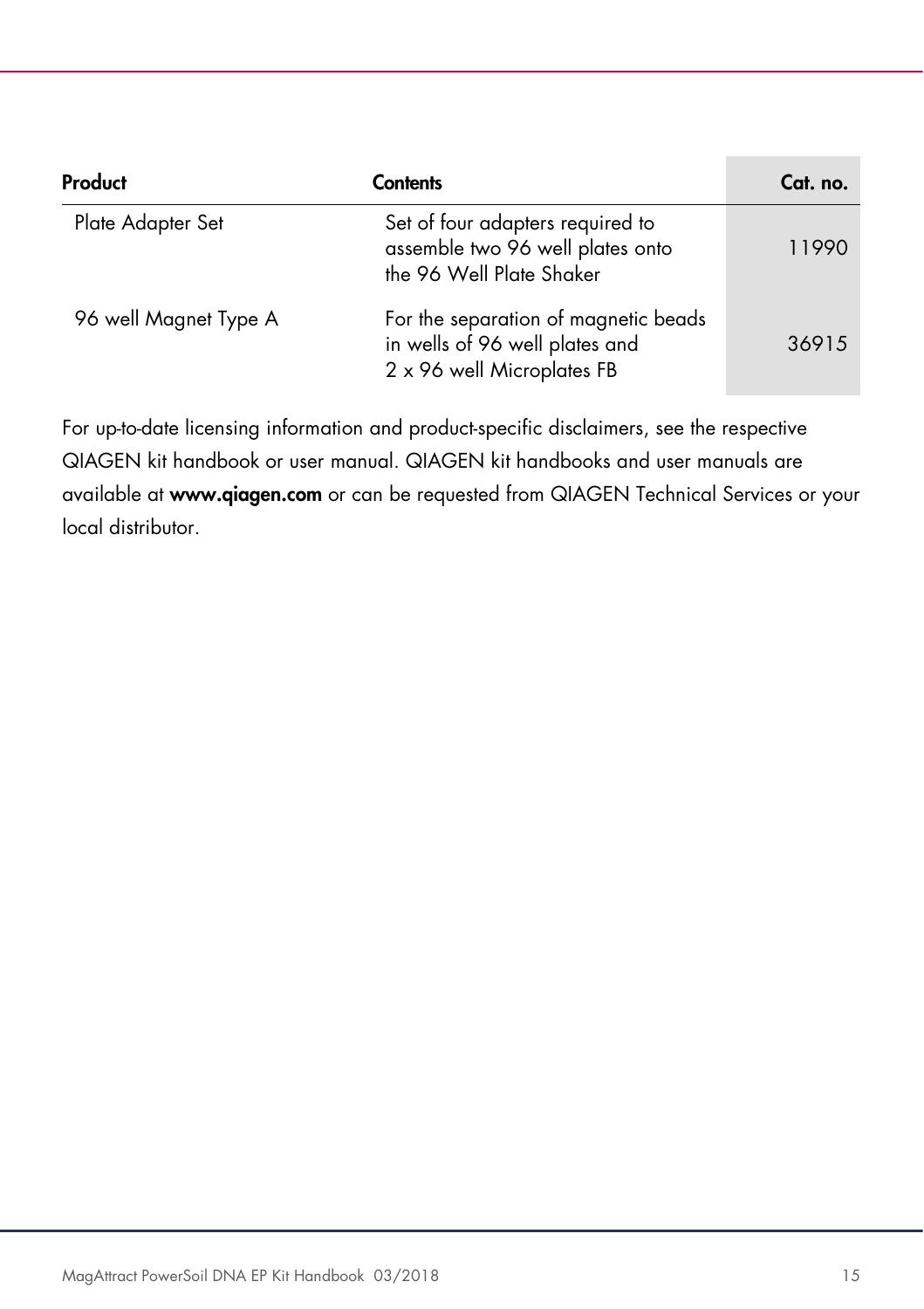| Product               | Contents                                                                                             | Cat. no. |
|-----------------------|------------------------------------------------------------------------------------------------------|----------|
| Plate Adapter Set     | Set of four adapters required to<br>assemble two 96 well plates onto<br>the 96 Well Plate Shaker     | 11990    |
| 96 well Magnet Type A | For the separation of magnetic beads<br>in wells of 96 well plates and<br>2 x 96 well Microplates FB | 36915    |

For up-to-date licensing information and product-specific disclaimers, see the respective QIAGEN kit handbook or user manual. QIAGEN kit handbooks and user manuals are available at www.qiagen.com or can be requested from QIAGEN Technical Services or your local distributor.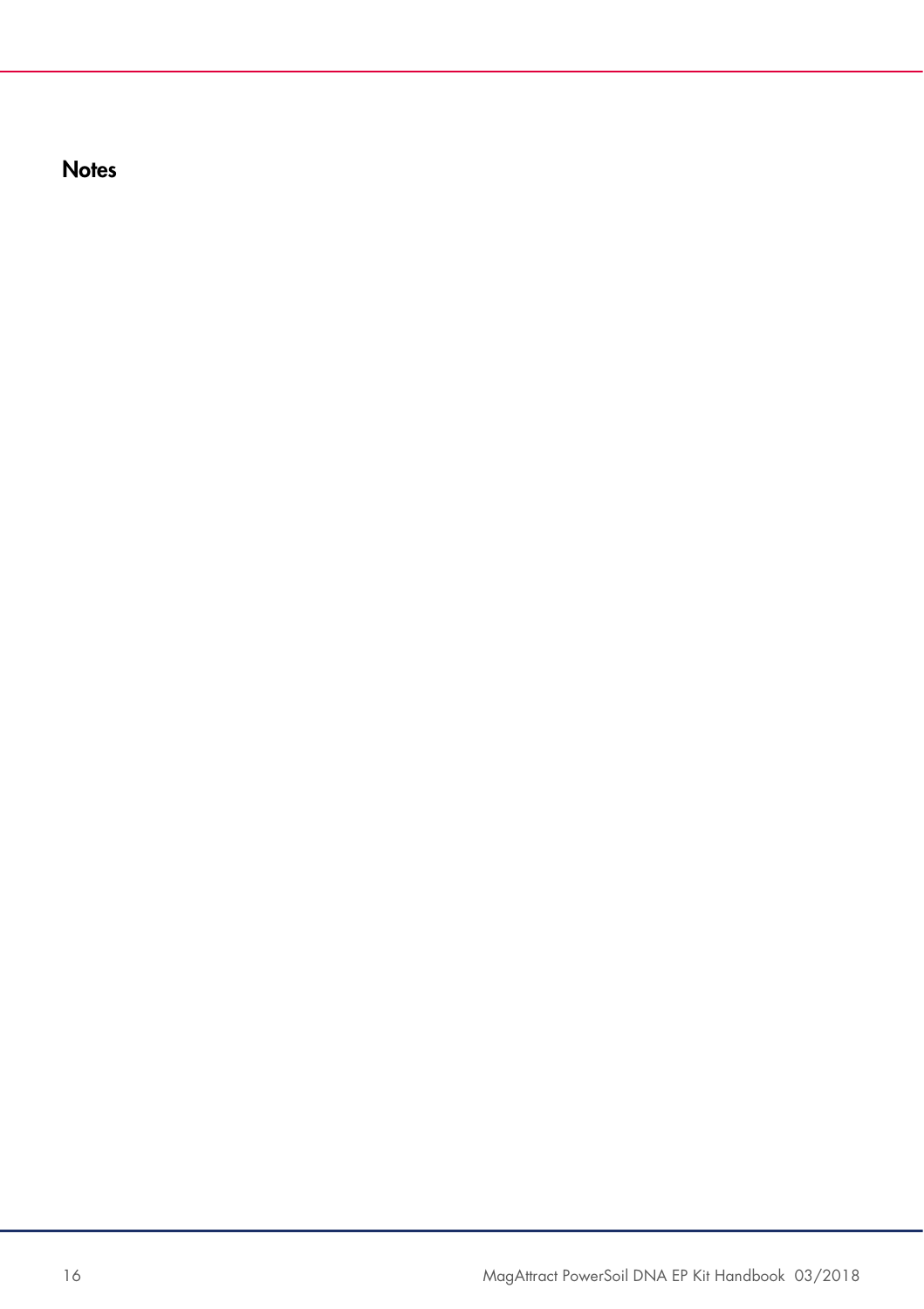**Notes**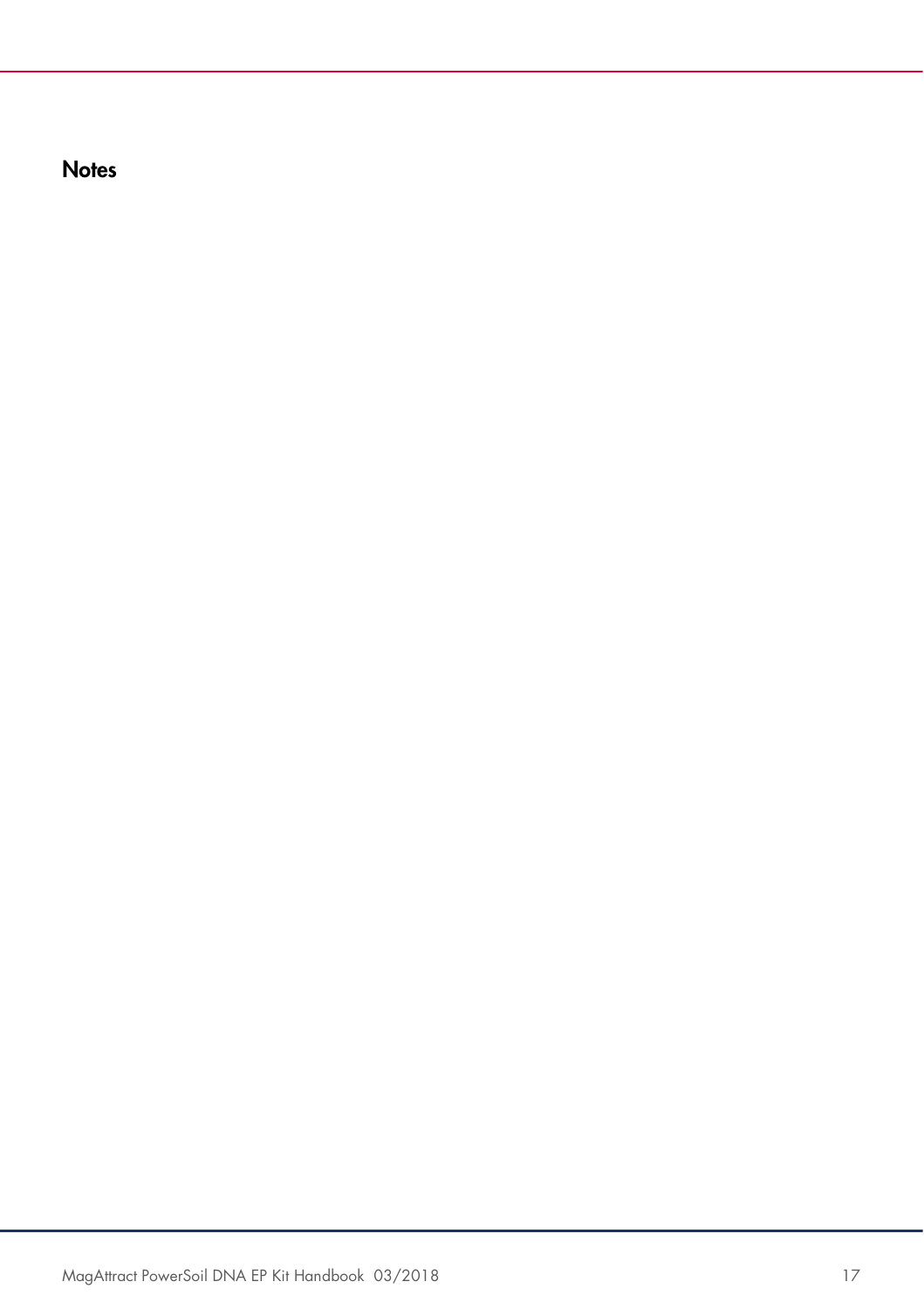**Notes**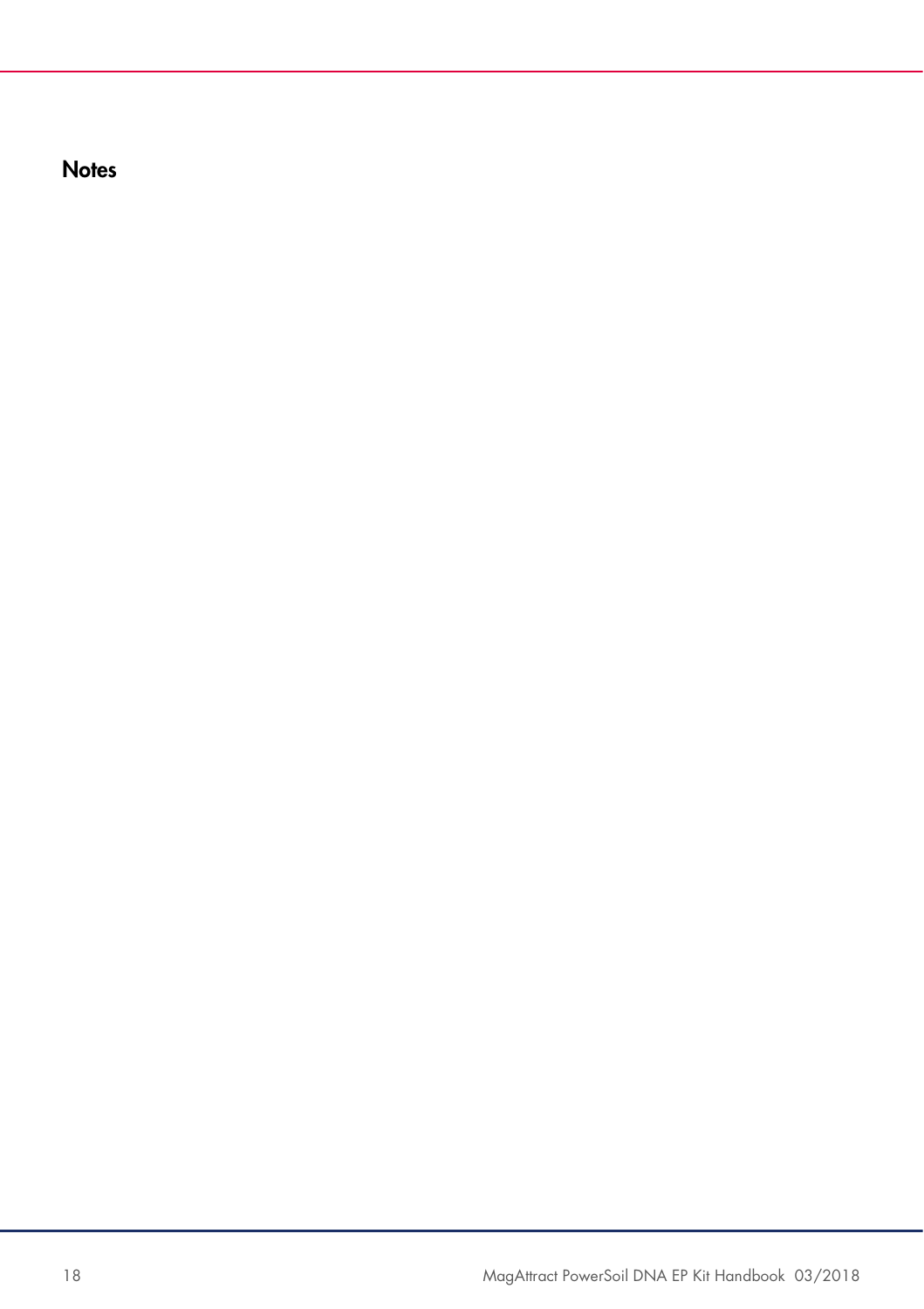**Notes**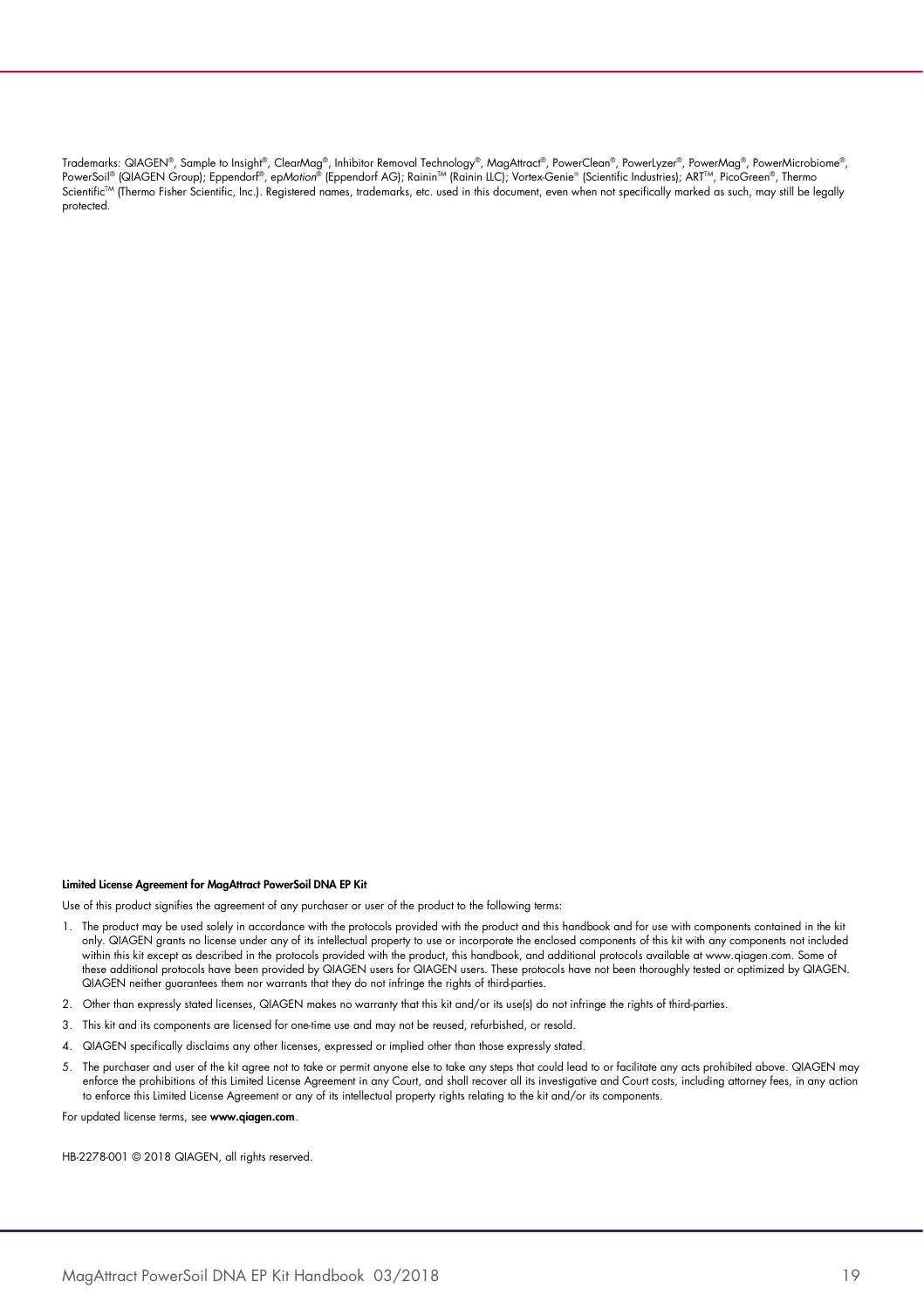Trademarks: QIAGEN®, Sample to Insight®, ClearMag®, Inhibitor Removal Technology®, MagAttract®, PowerClean®, PowerLyzer®, PowerMag®, PowerMicrobiome®, PowerSoil® (QIAGEN Group); Eppendorf®, epMotion® (Eppendorf AG); Rainin™ (Rainin LLC); Vortex-Genie® (Scientific Industries); ART™, PicoGreen®, Thermo Scientific<sup>tM</sup> (Thermo Fisher Scientific, Inc.). Registered names, trademarks, etc. used in this document, even when not specifically marked as such, may still be legally protected.

#### Limited License Agreement for MagAttract PowerSoil DNA EP Kit

Use of this product signifies the agreement of any purchaser or user of the product to the following terms:

- 1. The product may be used solely in accordance with the protocols provided with the product and this handbook and for use with components contained in the kit only. QIAGEN grants no license under any of its intellectual property to use or incorporate the enclosed components of this kit with any components not included within this kit except as described in the protocols provided with the product, this handbook, and additional protocols available at www.qiagen.com. Some of these additional protocols have been provided by QIAGEN users for QIAGEN users. These protocols have not been thoroughly tested or optimized by QIAGEN. QIAGEN neither guarantees them nor warrants that they do not infringe the rights of third-parties.
- 2. Other than expressly stated licenses, QIAGEN makes no warranty that this kit and/or its use(s) do not infringe the rights of third-parties.
- 3. This kit and its components are licensed for one-time use and may not be reused, refurbished, or resold.
- 4. QIAGEN specifically disclaims any other licenses, expressed or implied other than those expressly stated.
- 5. The purchaser and user of the kit agree not to take or permit anyone else to take any steps that could lead to or facilitate any acts prohibited above. QIAGEN may enforce the prohibitions of this Limited License Agreement in any Court, and shall recover all its investigative and Court costs, including attorney fees, in any action to enforce this Limited License Agreement or any of its intellectual property rights relating to the kit and/or its components.

For updated license terms, see www.qiagen.com.

HB-2278-001 © 2018 QIAGEN, all rights reserved.